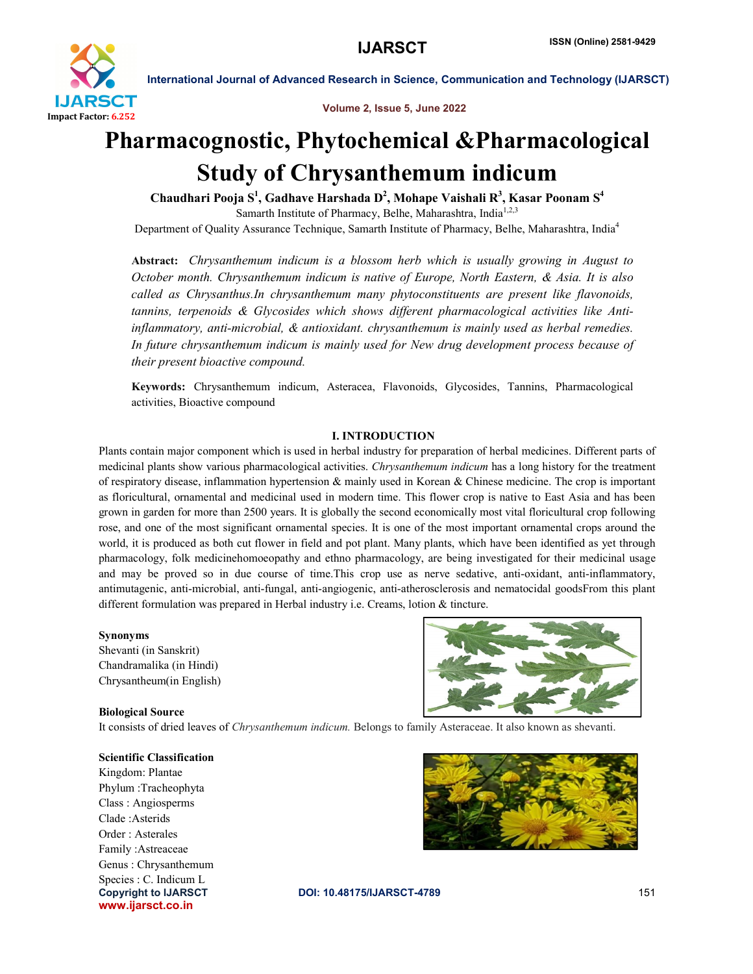

Volume 2, Issue 5, June 2022

# Pharmacognostic, Phytochemical &Pharmacological Study of Chrysanthemum indicum

Chaudhari Pooja  $\mathbf{S}^1$ , Gadhave Harshada  $\mathbf{D}^2$ , Mohape Vaishali  $\mathbf{R}^3$ , Kasar Poonam  $\mathbf{S}^4$ Samarth Institute of Pharmacy, Belhe, Maharashtra, India<sup>1,2,3</sup> Department of Quality Assurance Technique, Samarth Institute of Pharmacy, Belhe, Maharashtra, India<sup>4</sup>

Abstract: *Chrysanthemum indicum is a blossom herb which is usually growing in August to October month. Chrysanthemum indicum is native of Europe, North Eastern, & Asia. It is also called as Chrysanthus.In chrysanthemum many phytoconstituents are present like flavonoids, tannins, terpenoids & Glycosides which shows different pharmacological activities like Antiinflammatory, anti-microbial, & antioxidant. chrysanthemum is mainly used as herbal remedies. In future chrysanthemum indicum is mainly used for New drug development process because of their present bioactive compound.*

Keywords: Chrysanthemum indicum, Asteracea, Flavonoids, Glycosides, Tannins, Pharmacological activities, Bioactive compound

#### I. INTRODUCTION

Plants contain major component which is used in herbal industry for preparation of herbal medicines. Different parts of medicinal plants show various pharmacological activities. *Chrysanthemum indicum* has a long history for the treatment of respiratory disease, inflammation hypertension & mainly used in Korean & Chinese medicine. The crop is important as floricultural, ornamental and medicinal used in modern time. This flower crop is native to East Asia and has been grown in garden for more than 2500 years. It is globally the second economically most vital floricultural crop following rose, and one of the most significant ornamental species. It is one of the most important ornamental crops around the world, it is produced as both cut flower in field and pot plant. Many plants, which have been identified as yet through pharmacology, folk medicinehomoeopathy and ethno pharmacology, are being investigated for their medicinal usage and may be proved so in due course of time.This crop use as nerve sedative, anti-oxidant, anti-inflammatory, antimutagenic, anti-microbial, anti-fungal, anti-angiogenic, anti-atherosclerosis and nematocidal goodsFrom this plant different formulation was prepared in Herbal industry i.e. Creams, lotion & tincture.

#### Synonyms

Shevanti (in Sanskrit) Chandramalika (in Hindi) Chrysantheum(in English)

#### Biological Source

It consists of dried leaves of *Chrysanthemum indicum.* Belongs to family Asteraceae. It also known as shevanti.

www.ijarsct.co.in Scientific Classification Kingdom: Plantae Phylum :Tracheophyta Class : Angiosperms Clade :Asterids Order : Asterales Family :Astreaceae Genus : Chrysanthemum Species : C. Indicum L





Copyright to IJARSCT DOI: 10.48175/IJARSCT-4789 **151**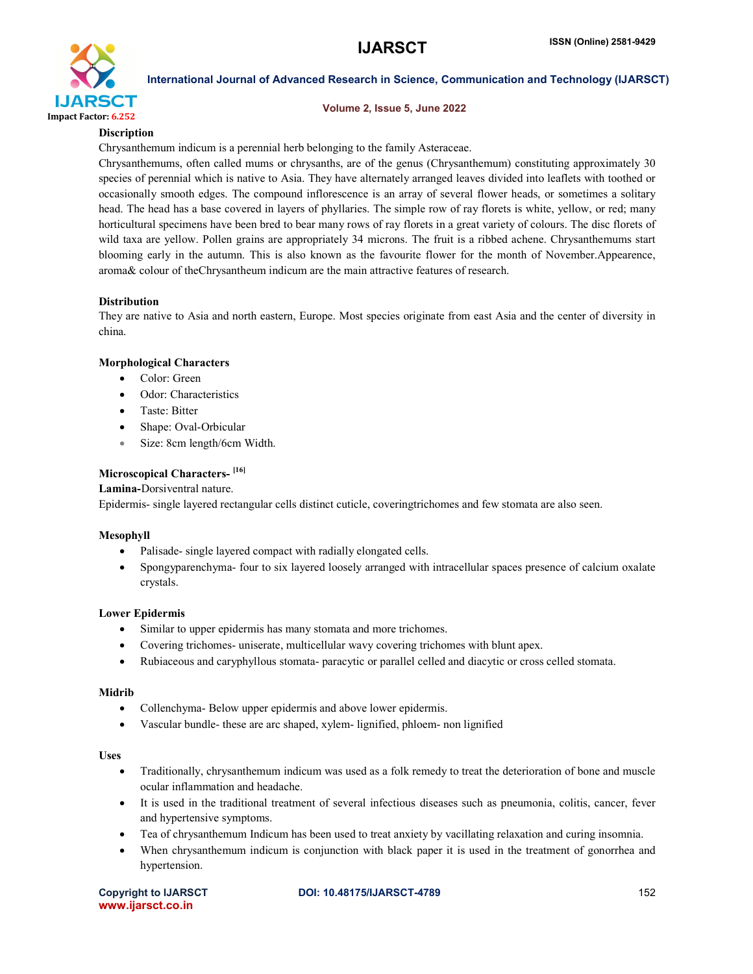

#### Volume 2, Issue 5, June 2022

# **Discription**

Chrysanthemum indicum is a perennial herb belonging to the family Asteraceae.

Chrysanthemums, often called mums or chrysanths, are of the genus (Chrysanthemum) constituting approximately 30 species of perennial which is native to Asia. They have alternately arranged leaves divided into leaflets with toothed or occasionally smooth edges. The compound inflorescence is an array of several flower heads, or sometimes a solitary head. The head has a base covered in layers of phyllaries. The simple row of ray florets is white, yellow, or red; many horticultural specimens have been bred to bear many rows of ray florets in a great variety of colours. The disc florets of wild taxa are yellow. Pollen grains are appropriately 34 microns. The fruit is a ribbed achene. Chrysanthemums start blooming early in the autumn. This is also known as the favourite flower for the month of November.Appearence, aroma& colour of theChrysantheum indicum are the main attractive features of research.

#### Distribution

They are native to Asia and north eastern, Europe. Most species originate from east Asia and the center of diversity in china.

#### Morphological Characters

- Color: Green
- Odor: Characteristics
- Taste: Bitter
- Shape: Oval-Orbicular
- Size: 8cm length/6cm Width.

#### Microscopical Characters-<sup>[16]</sup>

Lamina-Dorsiventral nature.

Epidermis- single layered rectangular cells distinct cuticle, coveringtrichomes and few stomata are also seen.

#### Mesophyll

- Palisade- single layered compact with radially elongated cells.
- Spongyparenchyma- four to six layered loosely arranged with intracellular spaces presence of calcium oxalate crystals.

#### Lower Epidermis

- Similar to upper epidermis has many stomata and more trichomes.
- Covering trichomes- uniserate, multicellular wavy covering trichomes with blunt apex.
- Rubiaceous and caryphyllous stomata- paracytic or parallel celled and diacytic or cross celled stomata.

#### Midrib

- Collenchyma- Below upper epidermis and above lower epidermis.
- Vascular bundle- these are arc shaped, xylem- lignified, phloem- non lignified

#### Uses

- Traditionally, chrysanthemum indicum was used as a folk remedy to treat the deterioration of bone and muscle ocular inflammation and headache.
- It is used in the traditional treatment of several infectious diseases such as pneumonia, colitis, cancer, fever and hypertensive symptoms.
- Tea of chrysanthemum Indicum has been used to treat anxiety by vacillating relaxation and curing insomnia.
- When chrysanthemum indicum is conjunction with black paper it is used in the treatment of gonorrhea and hypertension.

|                   | <b>Copyright to IJARSCT</b> |
|-------------------|-----------------------------|
| www.ijarsct.co.in |                             |

#### **DOI: 10.48175/IJARSCT-4789** 152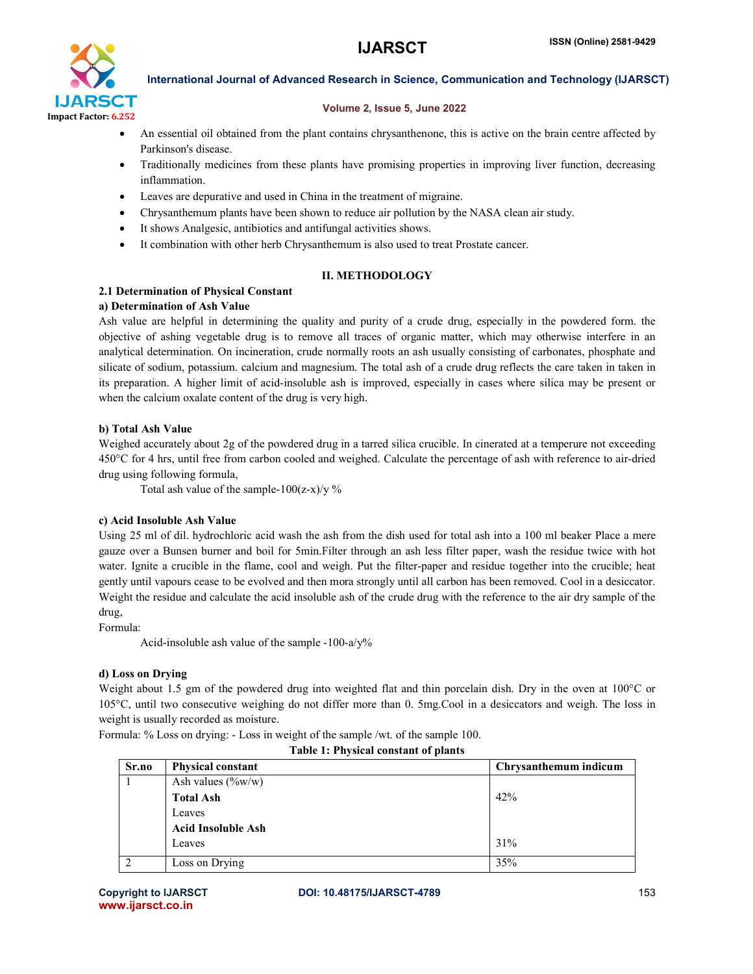

#### Volume 2, Issue 5, June 2022

- An essential oil obtained from the plant contains chrysanthenone, this is active on the brain centre affected by Parkinson's disease.
- Traditionally medicines from these plants have promising properties in improving liver function, decreasing inflammation.
- Leaves are depurative and used in China in the treatment of migraine.
- Chrysanthemum plants have been shown to reduce air pollution by the NASA clean air study.
- It shows Analgesic, antibiotics and antifungal activities shows.
- It combination with other herb Chrysanthemum is also used to treat Prostate cancer.

#### II. METHODOLOGY

# 2.1 Determination of Physical Constant

### a) Determination of Ash Value

Ash value are helpful in determining the quality and purity of a crude drug, especially in the powdered form. the objective of ashing vegetable drug is to remove all traces of organic matter, which may otherwise interfere in an analytical determination. On incineration, crude normally roots an ash usually consisting of carbonates, phosphate and silicate of sodium, potassium. calcium and magnesium. The total ash of a crude drug reflects the care taken in taken in its preparation. A higher limit of acid-insoluble ash is improved, especially in cases where silica may be present or when the calcium oxalate content of the drug is very high.

### b) Total Ash Value

Weighed accurately about 2g of the powdered drug in a tarred silica crucible. In cinerated at a temperure not exceeding 450°C for 4 hrs, until free from carbon cooled and weighed. Calculate the percentage of ash with reference to air-dried drug using following formula,

Total ash value of the sample- $100(z-x)/y$  %

# c) Acid Insoluble Ash Value

Using 25 ml of dil. hydrochloric acid wash the ash from the dish used for total ash into a 100 ml beaker Place a mere gauze over a Bunsen burner and boil for 5min.Filter through an ash less filter paper, wash the residue twice with hot water. Ignite a crucible in the flame, cool and weigh. Put the filter-paper and residue together into the crucible; heat gently until vapours cease to be evolved and then mora strongly until all carbon has been removed. Cool in a desiccator. Weight the residue and calculate the acid insoluble ash of the crude drug with the reference to the air dry sample of the drug,

Formula:

Acid-insoluble ash value of the sample -100-a/y%

#### d) Loss on Drying

Weight about 1.5 gm of the powdered drug into weighted flat and thin porcelain dish. Dry in the oven at 100°C or 105°C, until two consecutive weighing do not differ more than 0. 5mg.Cool in a desiccators and weigh. The loss in weight is usually recorded as moisture.

Formula: % Loss on drying: - Loss in weight of the sample /wt. of the sample 100.

| Sr.no | <b>Physical constant</b>  | Chrysanthemum indicum |
|-------|---------------------------|-----------------------|
|       | Ash values $(\%w/w)$      |                       |
|       | <b>Total Ash</b>          | 42%                   |
|       | Leaves                    |                       |
|       | <b>Acid Insoluble Ash</b> |                       |
|       | Leaves                    | 31%                   |
|       | Loss on Drying            | 35%                   |

Table 1: Physical constant of plants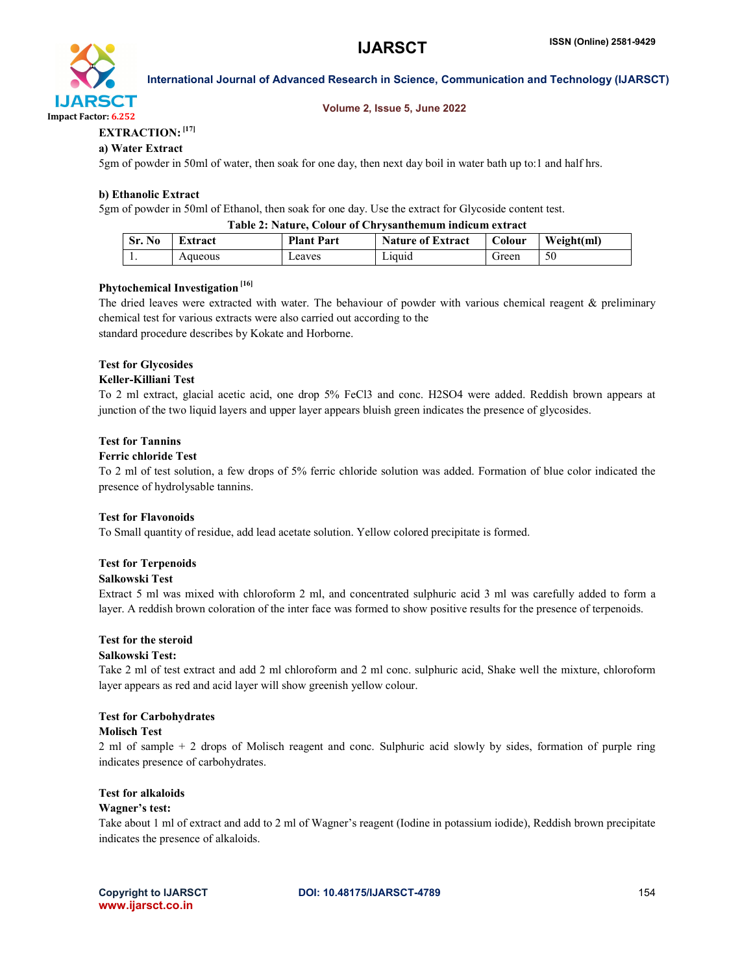

#### Volume 2, Issue 5, June 2022

# EXTRACTION: [17]

#### a) Water Extract

5gm of powder in 50ml of water, then soak for one day, then next day boil in water bath up to:1 and half hrs.

#### b) Ethanolic Extract

5gm of powder in 50ml of Ethanol, then soak for one day. Use the extract for Glycoside content test.

#### Table 2: Nature, Colour of Chrysanthemum indicum extract

| Sr. No | Extract | <b>Plant Part</b> | <b>Nature of Extract</b> | Colour | Weight(ml) |
|--------|---------|-------------------|--------------------------|--------|------------|
| . .    | Aqueous | Leaves            | Liquid                   | Green  | 50         |

# Phytochemical Investigation<sup>[16]</sup>

The dried leaves were extracted with water. The behaviour of powder with various chemical reagent & preliminary chemical test for various extracts were also carried out according to the standard procedure describes by Kokate and Horborne.

#### Test for Glycosides

#### Keller-Killiani Test

To 2 ml extract, glacial acetic acid, one drop 5% FeCl3 and conc. H2SO4 were added. Reddish brown appears at junction of the two liquid layers and upper layer appears bluish green indicates the presence of glycosides.

#### Test for Tannins

#### Ferric chloride Test

To 2 ml of test solution, a few drops of 5% ferric chloride solution was added. Formation of blue color indicated the presence of hydrolysable tannins.

#### Test for Flavonoids

To Small quantity of residue, add lead acetate solution. Yellow colored precipitate is formed.

#### Test for Terpenoids

#### Salkowski Test

Extract 5 ml was mixed with chloroform 2 ml, and concentrated sulphuric acid 3 ml was carefully added to form a layer. A reddish brown coloration of the inter face was formed to show positive results for the presence of terpenoids.

#### Test for the steroid

#### Salkowski Test:

Take 2 ml of test extract and add 2 ml chloroform and 2 ml conc. sulphuric acid, Shake well the mixture, chloroform layer appears as red and acid layer will show greenish yellow colour.

#### Test for Carbohydrates

#### Molisch Test

2 ml of sample + 2 drops of Molisch reagent and conc. Sulphuric acid slowly by sides, formation of purple ring indicates presence of carbohydrates.

### Test for alkaloids

#### Wagner's test:

Take about 1 ml of extract and add to 2 ml of Wagner's reagent (Iodine in potassium iodide), Reddish brown precipitate indicates the presence of alkaloids.

Copyright to IJARSCT DOI: 10.48175/IJARSCT-4789 **154**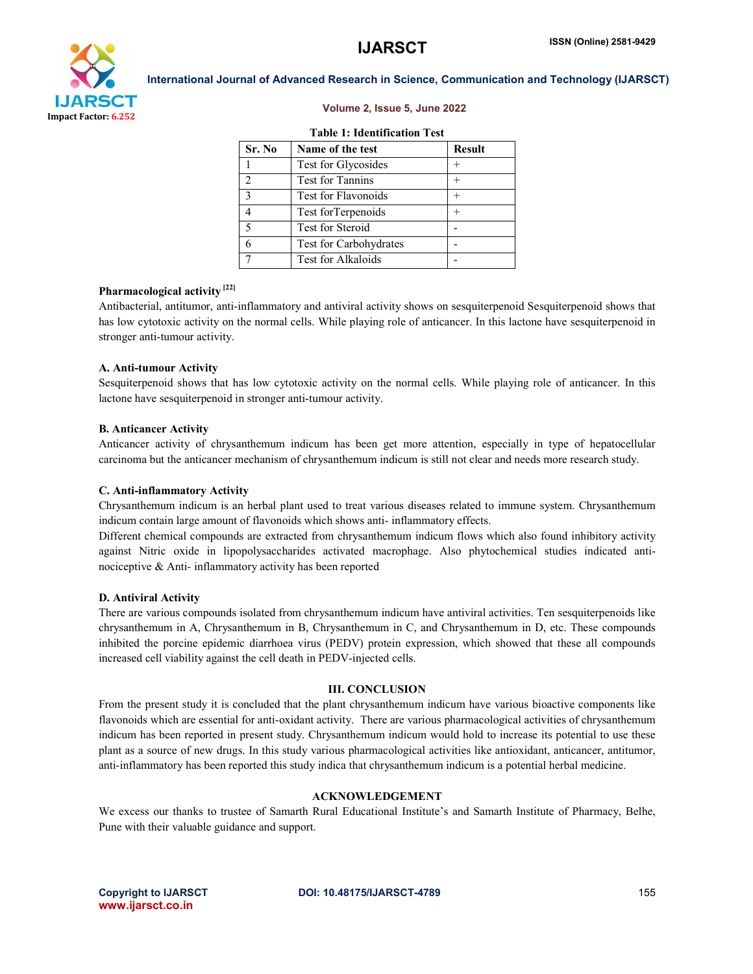

#### Volume 2, Issue 5, June 2022

#### Table 1: Identification Test

| Sr. No        | Name of the test           | <b>Result</b> |
|---------------|----------------------------|---------------|
|               | Test for Glycosides        |               |
| $\mathcal{D}$ | Test for Tannins           |               |
| $\mathbf{3}$  | <b>Test for Flavonoids</b> |               |
|               | Test for Terpenoids        |               |
| 5             | Test for Steroid           |               |
|               | Test for Carbohydrates     |               |
|               | Test for Alkaloids         |               |

#### Pharmacological activity<sup>[22]</sup>

Antibacterial, antitumor, anti-inflammatory and antiviral activity shows on sesquiterpenoid Sesquiterpenoid shows that has low cytotoxic activity on the normal cells. While playing role of anticancer. In this lactone have sesquiterpenoid in stronger anti-tumour activity.

#### A. Anti-tumour Activity

Sesquiterpenoid shows that has low cytotoxic activity on the normal cells. While playing role of anticancer. In this lactone have sesquiterpenoid in stronger anti-tumour activity.

#### B. Anticancer Activity

Anticancer activity of chrysanthemum indicum has been get more attention, especially in type of hepatocellular carcinoma but the anticancer mechanism of chrysanthemum indicum is still not clear and needs more research study.

#### C. Anti-inflammatory Activity

Chrysanthemum indicum is an herbal plant used to treat various diseases related to immune system. Chrysanthemum indicum contain large amount of flavonoids which shows anti- inflammatory effects.

Different chemical compounds are extracted from chrysanthemum indicum flows which also found inhibitory activity against Nitric oxide in lipopolysaccharides activated macrophage. Also phytochemical studies indicated antinociceptive & Anti- inflammatory activity has been reported

#### D. Antiviral Activity

There are various compounds isolated from chrysanthemum indicum have antiviral activities. Ten sesquiterpenoids like chrysanthemum in A, Chrysanthemum in B, Chrysanthemum in C, and Chrysanthemum in D, etc. These compounds inhibited the porcine epidemic diarrhoea virus (PEDV) protein expression, which showed that these all compounds increased cell viability against the cell death in PEDV-injected cells.

#### III. CONCLUSION

From the present study it is concluded that the plant chrysanthemum indicum have various bioactive components like flavonoids which are essential for anti-oxidant activity. There are various pharmacological activities of chrysanthemum indicum has been reported in present study. Chrysanthemum indicum would hold to increase its potential to use these plant as a source of new drugs. In this study various pharmacological activities like antioxidant, anticancer, antitumor, anti-inflammatory has been reported this study indica that chrysanthemum indicum is a potential herbal medicine.

#### ACKNOWLEDGEMENT

We excess our thanks to trustee of Samarth Rural Educational Institute's and Samarth Institute of Pharmacy, Belhe, Pune with their valuable guidance and support.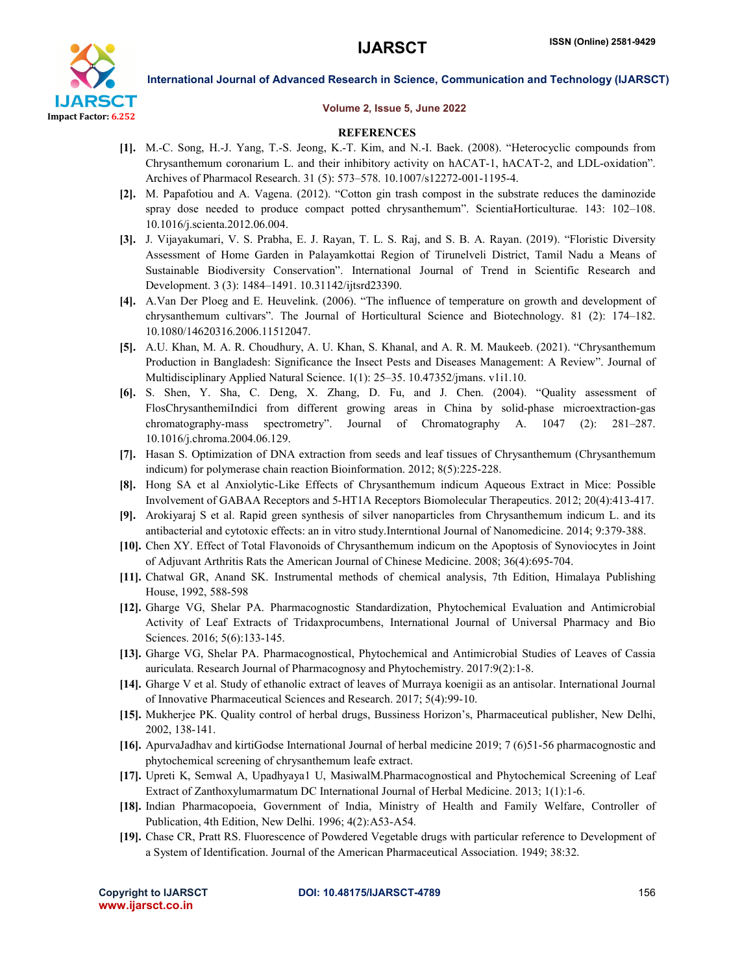

#### Volume 2, Issue 5, June 2022

#### **REFERENCES**

- [1]. M.-C. Song, H.-J. Yang, T.-S. Jeong, K.-T. Kim, and N.-I. Baek. (2008). "Heterocyclic compounds from Chrysanthemum coronarium L. and their inhibitory activity on hACAT-1, hACAT-2, and LDL-oxidation". Archives of Pharmacol Research. 31 (5): 573–578. 10.1007/s12272-001-1195-4.
- [2]. M. Papafotiou and A. Vagena. (2012). "Cotton gin trash compost in the substrate reduces the daminozide spray dose needed to produce compact potted chrysanthemum". ScientiaHorticulturae. 143: 102–108. 10.1016/j.scienta.2012.06.004.
- [3]. J. Vijayakumari, V. S. Prabha, E. J. Rayan, T. L. S. Raj, and S. B. A. Rayan. (2019). "Floristic Diversity Assessment of Home Garden in Palayamkottai Region of Tirunelveli District, Tamil Nadu a Means of Sustainable Biodiversity Conservation". International Journal of Trend in Scientific Research and Development. 3 (3): 1484–1491. 10.31142/ijtsrd23390.
- [4]. A.Van Der Ploeg and E. Heuvelink. (2006). "The influence of temperature on growth and development of chrysanthemum cultivars". The Journal of Horticultural Science and Biotechnology. 81 (2): 174–182. 10.1080/14620316.2006.11512047.
- [5]. A.U. Khan, M. A. R. Choudhury, A. U. Khan, S. Khanal, and A. R. M. Maukeeb. (2021). "Chrysanthemum Production in Bangladesh: Significance the Insect Pests and Diseases Management: A Review". Journal of Multidisciplinary Applied Natural Science. 1(1): 25–35. 10.47352/jmans. v1i1.10.
- [6]. S. Shen, Y. Sha, C. Deng, X. Zhang, D. Fu, and J. Chen. (2004). "Quality assessment of FlosChrysanthemiIndici from different growing areas in China by solid-phase microextraction-gas chromatography-mass spectrometry". Journal of Chromatography A. 1047 (2): 281–287. 10.1016/j.chroma.2004.06.129.
- [7]. Hasan S. Optimization of DNA extraction from seeds and leaf tissues of Chrysanthemum (Chrysanthemum indicum) for polymerase chain reaction Bioinformation. 2012; 8(5):225-228.
- [8]. Hong SA et al Anxiolytic-Like Effects of Chrysanthemum indicum Aqueous Extract in Mice: Possible Involvement of GABAA Receptors and 5-HT1A Receptors Biomolecular Therapeutics. 2012; 20(4):413-417.
- [9]. Arokiyaraj S et al. Rapid green synthesis of silver nanoparticles from Chrysanthemum indicum L. and its antibacterial and cytotoxic effects: an in vitro study.Interntional Journal of Nanomedicine. 2014; 9:379-388.
- [10]. Chen XY. Effect of Total Flavonoids of Chrysanthemum indicum on the Apoptosis of Synoviocytes in Joint of Adjuvant Arthritis Rats the American Journal of Chinese Medicine. 2008; 36(4):695-704.
- [11]. Chatwal GR, Anand SK. Instrumental methods of chemical analysis, 7th Edition, Himalaya Publishing House, 1992, 588-598
- [12]. Gharge VG, Shelar PA. Pharmacognostic Standardization, Phytochemical Evaluation and Antimicrobial Activity of Leaf Extracts of Tridaxprocumbens, International Journal of Universal Pharmacy and Bio Sciences. 2016; 5(6):133-145.
- [13]. Gharge VG, Shelar PA. Pharmacognostical, Phytochemical and Antimicrobial Studies of Leaves of Cassia auriculata. Research Journal of Pharmacognosy and Phytochemistry. 2017:9(2):1-8.
- [14]. Gharge V et al. Study of ethanolic extract of leaves of Murraya koenigii as an antisolar. International Journal of Innovative Pharmaceutical Sciences and Research. 2017; 5(4):99-10.
- [15]. Mukherjee PK. Quality control of herbal drugs, Bussiness Horizon's, Pharmaceutical publisher, New Delhi, 2002, 138-141.
- [16]. ApurvaJadhav and kirtiGodse International Journal of herbal medicine 2019; 7 (6)51-56 pharmacognostic and phytochemical screening of chrysanthemum leafe extract.
- [17]. Upreti K, Semwal A, Upadhyaya1 U, MasiwalM.Pharmacognostical and Phytochemical Screening of Leaf Extract of Zanthoxylumarmatum DC International Journal of Herbal Medicine. 2013; 1(1):1-6.
- [18]. Indian Pharmacopoeia, Government of India, Ministry of Health and Family Welfare, Controller of Publication, 4th Edition, New Delhi. 1996; 4(2):A53-A54.
- [19]. Chase CR, Pratt RS. Fluorescence of Powdered Vegetable drugs with particular reference to Development of a System of Identification. Journal of the American Pharmaceutical Association. 1949; 38:32.